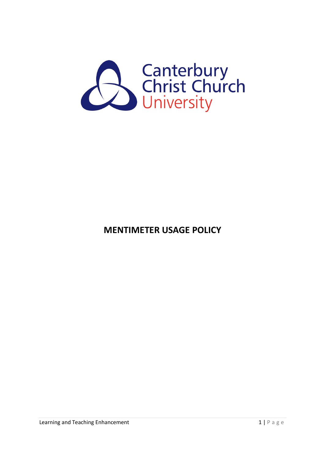

**MENTIMETER USAGE POLICY**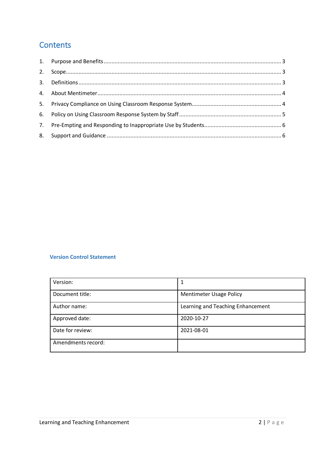# **Contents**

| 2. |  |
|----|--|
|    |  |
|    |  |
|    |  |
|    |  |
|    |  |
|    |  |

#### **Version Control Statement**

| Version:           |                                   |
|--------------------|-----------------------------------|
| Document title:    | <b>Mentimeter Usage Policy</b>    |
| Author name:       | Learning and Teaching Enhancement |
| Approved date:     | 2020-10-27                        |
| Date for review:   | 2021-08-01                        |
| Amendments record: |                                   |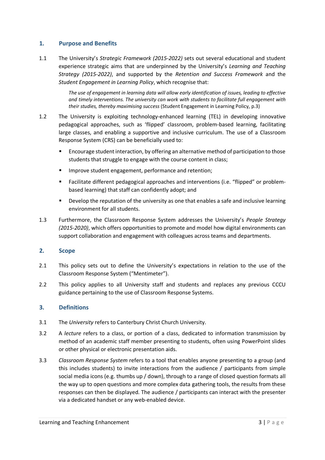#### <span id="page-2-0"></span>**1. Purpose and Benefits**

1.1 The University's *Strategic Framework (2015-2022)* sets out several educational and student experience strategic aims that are underpinned by the University's *Learning and Teaching Strategy (2015-2022)*, and supported by the *Retention and Success Framework* and the *Student Engagement in Learning Policy*, which recognise that:

> *The use of engagement in learning data will allow early identification of issues, leading to effective and timely interventions. The university can work with students to facilitate full engagement with their studies, thereby maximising success* (Student Engagement in Learning Policy, p.3)

- 1.2 The University is exploiting technology-enhanced learning (TEL) in developing innovative pedagogical approaches, such as 'flipped' classroom, problem-based learning, facilitating large classes, and enabling a supportive and inclusive curriculum. The use of a Classroom Response System (CRS) can be beneficially used to:
	- Encourage student interaction, by offering an alternative method of participation to those students that struggle to engage with the course content in class;
	- Improve student engagement, performance and retention;
	- Facilitate different pedagogical approaches and interventions (i.e. "flipped" or problembased learning) that staff can confidently adopt; and
	- Develop the reputation of the university as one that enables a safe and inclusive learning environment for all students.
- 1.3 Furthermore, the Classroom Response System addresses the University's *People Strategy (2015-2020)*, which offers opportunities to promote and model how digital environments can support collaboration and engagement with colleagues across teams and departments.

#### <span id="page-2-1"></span>**2. Scope**

- 2.1 This policy sets out to define the University's expectations in relation to the use of the Classroom Response System ("Mentimeter").
- 2.2 This policy applies to all University staff and students and replaces any previous CCCU guidance pertaining to the use of Classroom Response Systems.

### <span id="page-2-2"></span>**3. Definitions**

- 3.1 The *University* refers to Canterbury Christ Church University.
- 3.2 A *lecture* refers to a class, or portion of a class, dedicated to information transmission by method of an academic staff member presenting to students, often using PowerPoint slides or other physical or electronic presentation aids.
- 3.3 *Classroom Response System* refers to a tool that enables anyone presenting to a group (and this includes students) to invite interactions from the audience / participants from simple social media icons (e.g. thumbs up / down), through to a range of closed question formats all the way up to open questions and more complex data gathering tools, the results from these responses can then be displayed. The audience / participants can interact with the presenter via a dedicated handset or any web-enabled device.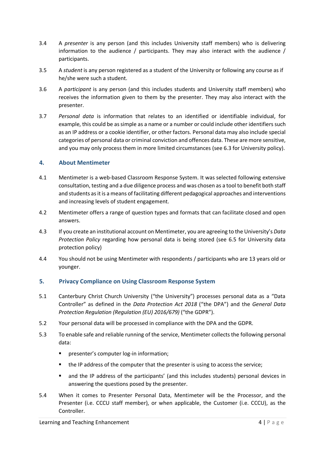- 3.4 A *presenter* is any person (and this includes University staff members) who is delivering information to the audience / participants. They may also interact with the audience / participants.
- 3.5 A *student* is any person registered as a student of the University or following any course as if he/she were such a student.
- 3.6 A *participant* is any person (and this includes students and University staff members) who receives the information given to them by the presenter. They may also interact with the presenter.
- 3.7 *Personal data* is information that relates to an identified or identifiable individual, for example, this could be as simple as a name or a number or could include other identifiers such as an IP address or a cookie identifier, or other factors. Personal data may also include special categories of personal data or criminal conviction and offences data. These are more sensitive, and you may only process them in more limited circumstances (see 6.3 for University policy).

### <span id="page-3-0"></span>**4. About Mentimeter**

- 4.1 Mentimeter is a web-based Classroom Response System. It was selected following extensive consultation, testing and a due diligence process and was chosen as a tool to benefit both staff and students as it is a means of facilitating different pedagogical approaches and interventions and increasing levels of student engagement.
- 4.2 Mentimeter offers a range of question types and formats that can facilitate closed and open answers.
- 4.3 If you create an institutional account on Mentimeter, you are agreeing to the University's *Data Protection Policy* regarding how personal data is being stored (see 6.5 for University data protection policy)
- 4.4 You should not be using Mentimeter with respondents / participants who are 13 years old or younger.

# <span id="page-3-1"></span>**5. Privacy Compliance on Using Classroom Response System**

- 5.1 Canterbury Christ Church University ("the University") processes personal data as a "Data Controller" as defined in the *Data Protection Act 2018* ("the DPA") and the *General Data Protection Regulation (Regulation (EU) 2016/679)* ("the GDPR").
- 5.2 Your personal data will be processed in compliance with the DPA and the GDPR.
- 5.3 To enable safe and reliable running of the service, Mentimeter collects the following personal data:
	- **P** presenter's computer log-in information;
	- the IP address of the computer that the presenter is using to access the service;
	- and the IP address of the participants' (and this includes students) personal devices in answering the questions posed by the presenter.
- 5.4 When it comes to Presenter Personal Data, Mentimeter will be the Processor, and the Presenter (i.e. CCCU staff member), or when applicable, the Customer (i.e. CCCU), as the Controller.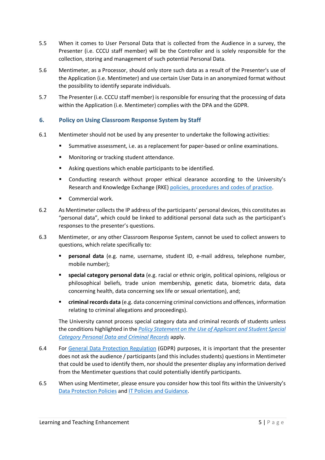- 5.5 When it comes to User Personal Data that is collected from the Audience in a survey, the Presenter (i.e. CCCU staff member) will be the Controller and is solely responsible for the collection, storing and management of such potential Personal Data.
- 5.6 Mentimeter, as a Processor, should only store such data as a result of the Presenter's use of the Application (i.e. Mentimeter) and use certain User Data in an anonymized format without the possibility to identify separate individuals.
- 5.7 The Presenter (i.e. CCCU staff member) is responsible for ensuring that the processing of data within the Application (i.e. Mentimeter) complies with the DPA and the GDPR.

# <span id="page-4-0"></span>**6. Policy on Using Classroom Response System by Staff**

- 6.1 Mentimeter should not be used by any presenter to undertake the following activities:
	- Summative assessment, i.e. as a replacement for paper-based or online examinations.
	- **Monitoring or tracking student attendance.**
	- Asking questions which enable participants to be identified.
	- Conducting research without proper ethical clearance according to the University's Research and Knowledge Exchange (RKE[\) policies, procedures and codes of practice.](https://cccu.canterbury.ac.uk/research-development/policies-and-guidance.aspx)
	- Commercial work.
- 6.2 As Mentimeter collects the IP address of the participants' personal devices, this constitutes as "personal data", which could be linked to additional personal data such as the participant's responses to the presenter's questions.
- 6.3 Mentimeter, or any other Classroom Response System, cannot be used to collect answers to questions, which relate specifically to:
	- **Personal data** (e.g. name, username, student ID, e-mail address, telephone number, mobile number);
	- **special category personal data** (e.g. racial or ethnic origin, political opinions, religious or philosophical beliefs, trade union membership, genetic data, biometric data, data concerning health, data concerning sex life or sexual orientation), and;
	- **criminal records data** (e.g. data concerning criminal convictions and offences, information relating to criminal allegations and proceedings).

The University cannot process special category data and criminal records of students unless the conditions highlighted in the *[Policy Statement on the Use of Applicant and Student Special](https://www.canterbury.ac.uk/university-solicitors-office/data-protection/privacy-notices/use-of-special-category-data-student-privacy-notice.aspx)  [Category Personal Data and Criminal Records](https://www.canterbury.ac.uk/university-solicitors-office/data-protection/privacy-notices/use-of-special-category-data-student-privacy-notice.aspx)* apply.

- 6.4 For [General Data Protection Regulation](https://cccu.canterbury.ac.uk/governance-and-legal-services/the-general-data-protection-regulation/the-general-data-protection-regulation.aspx) (GDPR) purposes, it is important that the presenter does not ask the audience / participants (and this includes students) questions in Mentimeter that could be used to identify them, nor should the presenter display any information derived from the Mentimeter questions that could potentially identify participants.
- 6.5 When using Mentimeter, please ensure you consider how this tool fits within the University's [Data Protection Policies](https://www.canterbury.ac.uk/university-solicitors-office/data-protection/data-protection.aspx) an[d IT Policies and Guidance.](https://cccu.canterbury.ac.uk/information-technology/policies/policies.aspx)